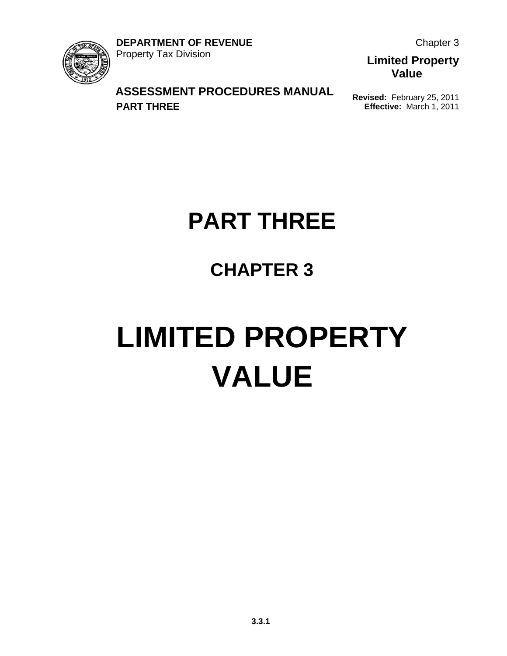

Chapter 3

**Limited Property Value**

#### **ASSESSMENT PROCEDURES MANUAL PART THREE**

**Revised:** February 25, 2011 **Effective:** March 1, 2011

## **PART THREE**

### **CHAPTER 3**

# **LIMITED PROPERTY VALUE**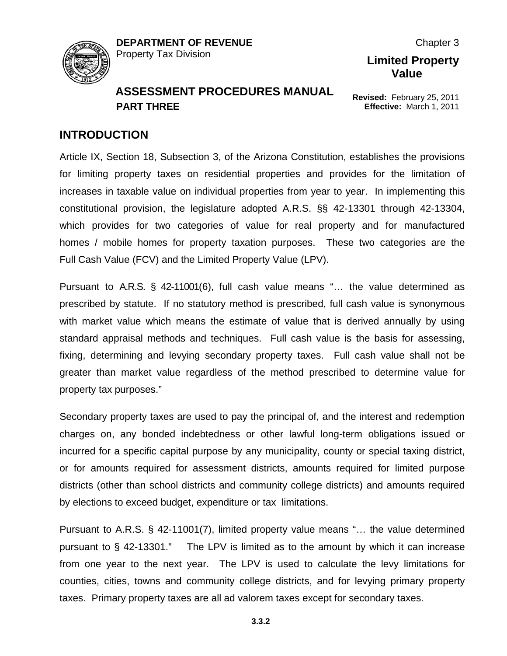

**Revised:** February 25, 2011 **Effective:** March 1, 2011

**Limited Property Value**

Chapter 3

#### **INTRODUCTION**

Article IX, Section 18, Subsection 3, of the Arizona Constitution, establishes the provisions for limiting property taxes on residential properties and provides for the limitation of increases in taxable value on individual properties from year to year. In implementing this constitutional provision, the legislature adopted A.R.S. §§ 42-13301 through 42-13304, which provides for two categories of value for real property and for manufactured homes / mobile homes for property taxation purposes. These two categories are the Full Cash Value (FCV) and the Limited Property Value (LPV).

Pursuant to A.R.S. § 42-11001(6), full cash value means "… the value determined as prescribed by statute. If no statutory method is prescribed, full cash value is synonymous with market value which means the estimate of value that is derived annually by using standard appraisal methods and techniques. Full cash value is the basis for assessing, fixing, determining and levying secondary property taxes. Full cash value shall not be greater than market value regardless of the method prescribed to determine value for property tax purposes."

Secondary property taxes are used to pay the principal of, and the interest and redemption charges on, any bonded indebtedness or other lawful long-term obligations issued or incurred for a specific capital purpose by any municipality, county or special taxing district, or for amounts required for assessment districts, amounts required for limited purpose districts (other than school districts and community college districts) and amounts required by elections to exceed budget, expenditure or tax limitations.

Pursuant to A.R.S. § 42-11001(7), limited property value means "… the value determined pursuant to § 42-13301." The LPV is limited as to the amount by which it can increase from one year to the next year. The LPV is used to calculate the levy limitations for counties, cities, towns and community college districts, and for levying primary property taxes. Primary property taxes are all ad valorem taxes except for secondary taxes.

**3.3.2**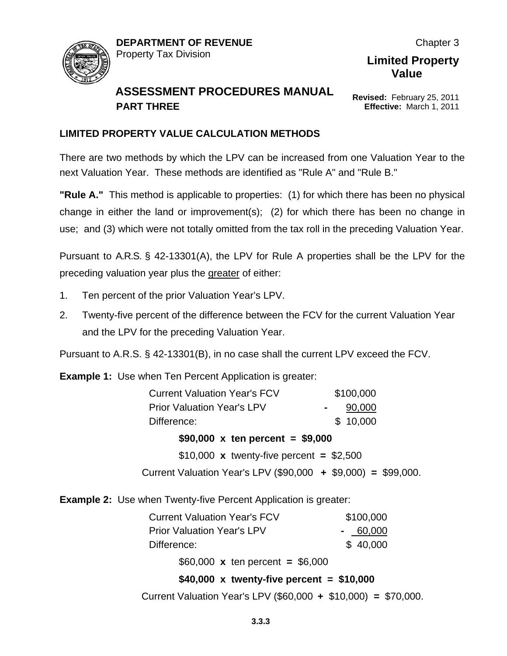

#### **ASSESSMENT PROCEDURES MANUAL PART THREE**

**Revised:** February 25, 2011 **Effective:** March 1, 2011

#### **LIMITED PROPERTY VALUE CALCULATION METHODS**

There are two methods by which the LPV can be increased from one Valuation Year to the next Valuation Year. These methods are identified as "Rule A" and "Rule B."

**"Rule A."** This method is applicable to properties: (1) for which there has been no physical change in either the land or improvement(s); (2) for which there has been no change in use; and (3) which were not totally omitted from the tax roll in the preceding Valuation Year.

Pursuant to A.R.S. § 42-13301(A), the LPV for Rule A properties shall be the LPV for the preceding valuation year plus the greater of either:

- 1. Ten percent of the prior Valuation Year's LPV.
- 2. Twenty-five percent of the difference between the FCV for the current Valuation Year and the LPV for the preceding Valuation Year.

Pursuant to A.R.S. § 42-13301(B), in no case shall the current LPV exceed the FCV.

**Example 1:** Use when Ten Percent Application is greater:

| <b>Current Valuation Year's FCV</b>                           | \$100,000 |
|---------------------------------------------------------------|-----------|
| <b>Prior Valuation Year's LPV</b>                             | 90,000    |
| Difference:                                                   | \$10,000  |
| \$90,000 x ten percent = $$9,000$                             |           |
| \$10,000 x twenty-five percent = $$2,500$                     |           |
| Current Valuation Year's LPV (\$90,000 + \$9,000) = \$99,000. |           |

**Example 2:** Use when Twenty-five Percent Application is greater:

| <b>Current Valuation Year's FCV</b> | \$100,000 |
|-------------------------------------|-----------|
| <b>Prior Valuation Year's LPV</b>   | $-60,000$ |
| Difference:                         | \$40,000  |

\$60,000 **x** ten percent **=** \$6,000

#### **\$40,000 x twenty-five percent = \$10,000**

Current Valuation Year's LPV (\$60,000 **+** \$10,000) **=** \$70,000.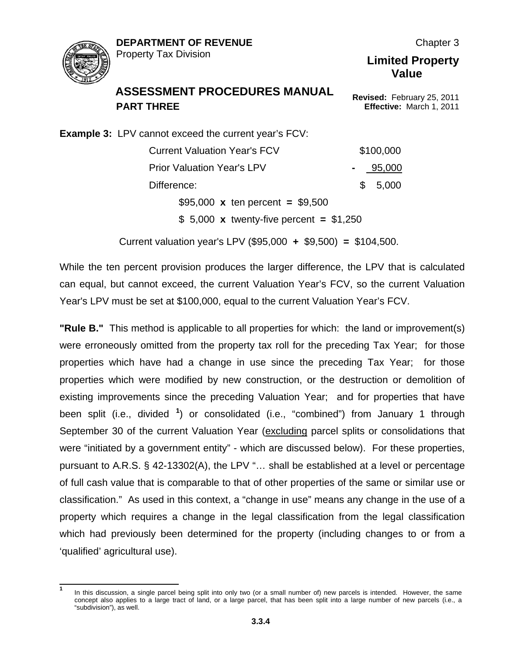

Chapter 3

#### **ASSESSMENT PROCEDURES MANUAL PART THREE**

**Revised:** February 25, 2011 **Effective:** March 1, 2011

**Limited Property Value**

**Example 3:** LPV cannot exceed the current year's FCV: Current Valuation Year's FCV \$100,000 Prior Valuation Year's LPV **-** 95,000 Difference: \$ 5,000 \$95,000 **x** ten percent **=** \$9,500

\$ 5,000 **x** twenty-five percent **=** \$1,250

Current valuation year's LPV (\$95,000 **+** \$9,500) **=** \$104,500.

While the ten percent provision produces the larger difference, the LPV that is calculated can equal, but cannot exceed, the current Valuation Year's FCV, so the current Valuation Year's LPV must be set at \$100,000, equal to the current Valuation Year's FCV.

**"Rule B."** This method is applicable to all properties for which: the land or improvement(s) were erroneously omitted from the property tax roll for the preceding Tax Year; for those properties which have had a change in use since the preceding Tax Year; for those properties which were modified by new construction, or the destruction or demolition of existing improvements since the preceding Valuation Year; and for properties that have been split (i.e., divided **[1](#page-3-0)** ) or consolidated (i.e., "combined") from January 1 through September 30 of the current Valuation Year (excluding parcel splits or consolidations that were "initiated by a government entity" - which are discussed below). For these properties, pursuant to A.R.S. § 42-13302(A), the LPV "… shall be established at a level or percentage of full cash value that is comparable to that of other properties of the same or similar use or classification." As used in this context, a "change in use" means any change in the use of a property which requires a change in the legal classification from the legal classification which had previously been determined for the property (including changes to or from a 'qualified' agricultural use).

<span id="page-3-0"></span>**<sup>1</sup>** In this discussion, a single parcel being split into only two (or a small number of) new parcels is intended. However, the same concept also applies to a large tract of land, or a large parcel, that has been split into a large number of new parcels (i.e., a "subdivision"), as well.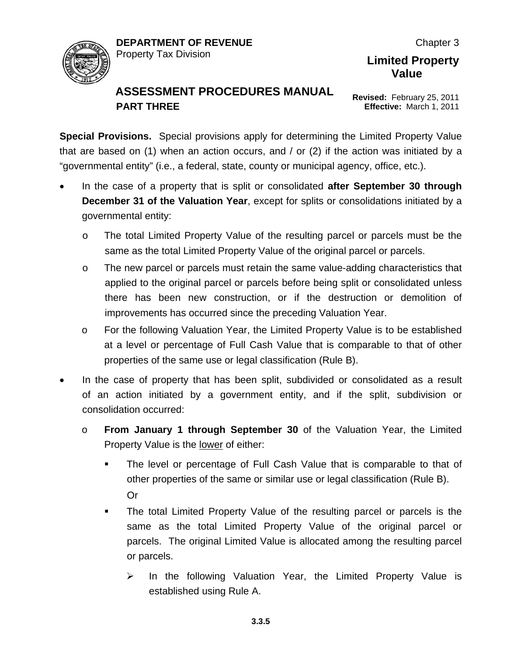

#### **ASSESSMENT PROCEDURES MANUAL PART THREE**

**Revised:** February 25, 2011 **Effective:** March 1, 2011

**Special Provisions.** Special provisions apply for determining the Limited Property Value that are based on (1) when an action occurs, and / or (2) if the action was initiated by a "governmental entity" (i.e., a federal, state, county or municipal agency, office, etc.).

- In the case of a property that is split or consolidated **after September 30 through December 31 of the Valuation Year**, except for splits or consolidations initiated by a governmental entity:
	- o The total Limited Property Value of the resulting parcel or parcels must be the same as the total Limited Property Value of the original parcel or parcels.
	- $\circ$  The new parcel or parcels must retain the same value-adding characteristics that applied to the original parcel or parcels before being split or consolidated unless there has been new construction, or if the destruction or demolition of improvements has occurred since the preceding Valuation Year.
	- o For the following Valuation Year, the Limited Property Value is to be established at a level or percentage of Full Cash Value that is comparable to that of other properties of the same use or legal classification (Rule B).
- In the case of property that has been split, subdivided or consolidated as a result of an action initiated by a government entity, and if the split, subdivision or consolidation occurred:
	- o **From January 1 through September 30** of the Valuation Year, the Limited Property Value is the lower of either:
		- The level or percentage of Full Cash Value that is comparable to that of other properties of the same or similar use or legal classification (Rule B). Or
		- The total Limited Property Value of the resulting parcel or parcels is the same as the total Limited Property Value of the original parcel or parcels. The original Limited Value is allocated among the resulting parcel or parcels.
			- $\triangleright$  In the following Valuation Year, the Limited Property Value is established using Rule A.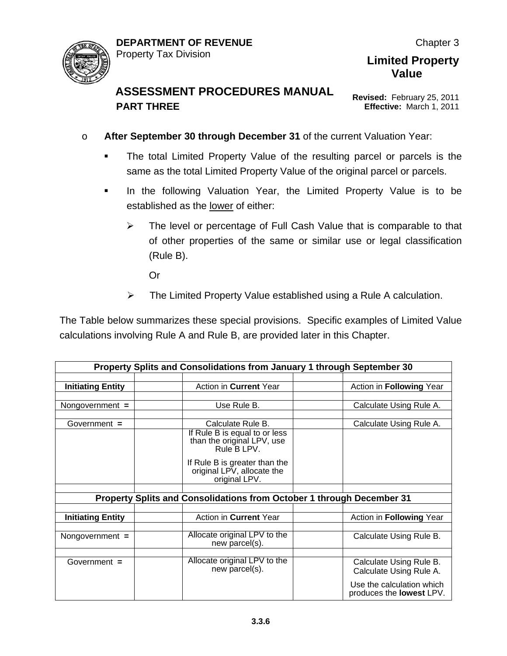

**Revised:** February 25, 2011 **Effective:** March 1, 2011

**Limited Property Value**

- o **After September 30 through December 31** of the current Valuation Year:
	- The total Limited Property Value of the resulting parcel or parcels is the same as the total Limited Property Value of the original parcel or parcels.
	- **In the following Valuation Year, the Limited Property Value is to be** established as the lower of either:
		- $\triangleright$  The level or percentage of Full Cash Value that is comparable to that of other properties of the same or similar use or legal classification (Rule B).

Or

 $\triangleright$  The Limited Property Value established using a Rule A calculation.

The Table below summarizes these special provisions. Specific examples of Limited Value calculations involving Rule A and Rule B, are provided later in this Chapter.

|                          | Property Splits and Consolidations from January 1 through September 30       |                                                              |  |  |  |
|--------------------------|------------------------------------------------------------------------------|--------------------------------------------------------------|--|--|--|
|                          |                                                                              |                                                              |  |  |  |
| <b>Initiating Entity</b> | Action in Current Year                                                       | Action in Following Year                                     |  |  |  |
|                          |                                                                              |                                                              |  |  |  |
| Nongovernment =          | Use Rule B.                                                                  | Calculate Using Rule A.                                      |  |  |  |
|                          |                                                                              |                                                              |  |  |  |
| Government $=$           | Calculate Rule B.                                                            | Calculate Using Rule A.                                      |  |  |  |
|                          | If Rule B is equal to or less<br>than the original LPV, use<br>Rule B LPV.   |                                                              |  |  |  |
|                          | If Rule B is greater than the<br>original LPV, allocate the<br>original LPV. |                                                              |  |  |  |
|                          |                                                                              |                                                              |  |  |  |
|                          | Property Splits and Consolidations from October 1 through December 31        |                                                              |  |  |  |
|                          |                                                                              |                                                              |  |  |  |
| <b>Initiating Entity</b> | Action in Current Year                                                       | Action in Following Year                                     |  |  |  |
|                          |                                                                              |                                                              |  |  |  |
| Nongovernment $=$        | Allocate original LPV to the<br>new parcel(s).                               | Calculate Using Rule B.                                      |  |  |  |
|                          |                                                                              |                                                              |  |  |  |
| Government $=$           | Allocate original LPV to the<br>new parcel(s).                               | Calculate Using Rule B.<br>Calculate Using Rule A.           |  |  |  |
|                          |                                                                              | Use the calculation which<br>produces the <b>lowest</b> LPV. |  |  |  |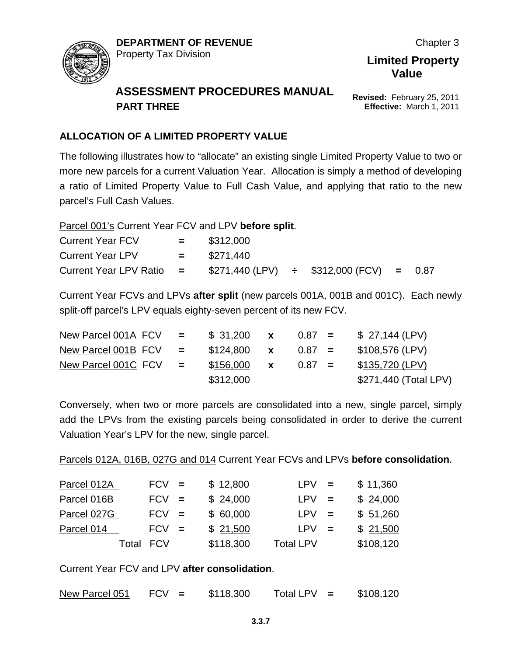

**Revised:** February 25, 2011 **Effective:** March 1, 2011

**Value**

#### **ALLOCATION OF A LIMITED PROPERTY VALUE**

The following illustrates how to "allocate" an existing single Limited Property Value to two or more new parcels for a current Valuation Year. Allocation is simply a method of developing a ratio of Limited Property Value to Full Cash Value, and applying that ratio to the new parcel's Full Cash Values.

Parcel 001's Current Year FCV and LPV **before split**.

| <b>Current Year FCV</b>    | and the state of the | \$312,000     |                                                |  |
|----------------------------|----------------------|---------------|------------------------------------------------|--|
| <b>Current Year LPV</b>    |                      | $=$ \$271,440 |                                                |  |
| Current Year LPV Ratio $=$ |                      |               | $$271,440$ (LPV) $\div$ \$312,000 (FCV) = 0.87 |  |

Current Year FCVs and LPVs **after split** (new parcels 001A, 001B and 001C). Each newly split-off parcel's LPV equals eighty-seven percent of its new FCV.

| New Parcel 001A $FCV =$          | \$31,200  | $\mathbf x$  | $0.87 =$ | \$ 27,144 (LPV)       |
|----------------------------------|-----------|--------------|----------|-----------------------|
| New Parcel 001B $FCV = $124,800$ |           | $\mathbf{x}$ | $0.87 =$ | \$108,576 (LPV)       |
| New Parcel 001C $FCV =$          | \$156,000 | $\mathbf{x}$ | $0.87 =$ | \$135,720 (LPV)       |
|                                  | \$312,000 |              |          | \$271,440 (Total LPV) |

Conversely, when two or more parcels are consolidated into a new, single parcel, simply add the LPVs from the existing parcels being consolidated in order to derive the current Valuation Year's LPV for the new, single parcel.

Parcels 012A, 016B, 027G and 014 Current Year FCVs and LPVs **before consolidation**.

| Parcel 012A | $FCV =$    | \$12,800  | $LPV =$          | \$11,360  |
|-------------|------------|-----------|------------------|-----------|
| Parcel 016B | $FCV =$    | \$24,000  | $LPV =$          | \$24,000  |
| Parcel 027G | $FCV =$    | \$60,000  | $LPV =$          | \$51,260  |
| Parcel 014  | $FCV =$    | \$21,500  | $LPV =$          | \$21,500  |
| Total       | <b>FCV</b> | \$118,300 | <b>Total LPV</b> | \$108,120 |

Current Year FCV and LPV **after consolidation**.

New Parcel 051 FCV **=** \$118,300 Total LPV **=** \$108,120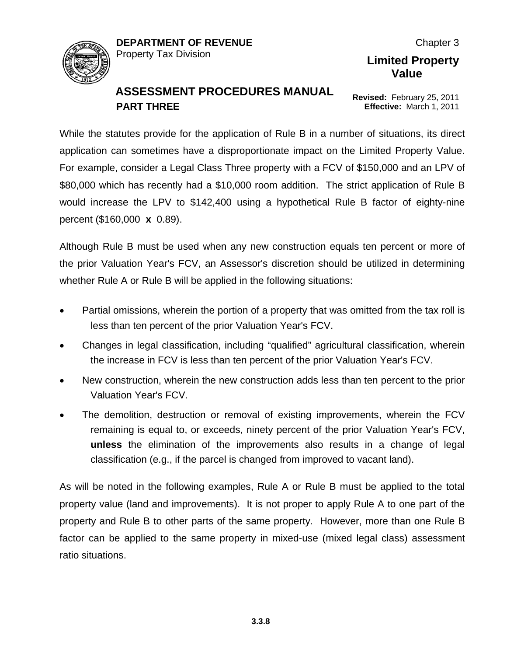

**Revised:** February 25, 2011 **Effective:** March 1, 2011

**Limited Property Value**

While the statutes provide for the application of Rule B in a number of situations, its direct application can sometimes have a disproportionate impact on the Limited Property Value. For example, consider a Legal Class Three property with a FCV of \$150,000 and an LPV of \$80,000 which has recently had a \$10,000 room addition. The strict application of Rule B would increase the LPV to \$142,400 using a hypothetical Rule B factor of eighty-nine percent (\$160,000 **x** 0.89).

Although Rule B must be used when any new construction equals ten percent or more of the prior Valuation Year's FCV, an Assessor's discretion should be utilized in determining whether Rule A or Rule B will be applied in the following situations:

- Partial omissions, wherein the portion of a property that was omitted from the tax roll is less than ten percent of the prior Valuation Year's FCV.
- Changes in legal classification, including "qualified" agricultural classification, wherein the increase in FCV is less than ten percent of the prior Valuation Year's FCV.
- New construction, wherein the new construction adds less than ten percent to the prior Valuation Year's FCV.
- The demolition, destruction or removal of existing improvements, wherein the FCV remaining is equal to, or exceeds, ninety percent of the prior Valuation Year's FCV, **unless** the elimination of the improvements also results in a change of legal classification (e.g., if the parcel is changed from improved to vacant land).

As will be noted in the following examples, Rule A or Rule B must be applied to the total property value (land and improvements). It is not proper to apply Rule A to one part of the property and Rule B to other parts of the same property. However, more than one Rule B factor can be applied to the same property in mixed-use (mixed legal class) assessment ratio situations.

Chapter 3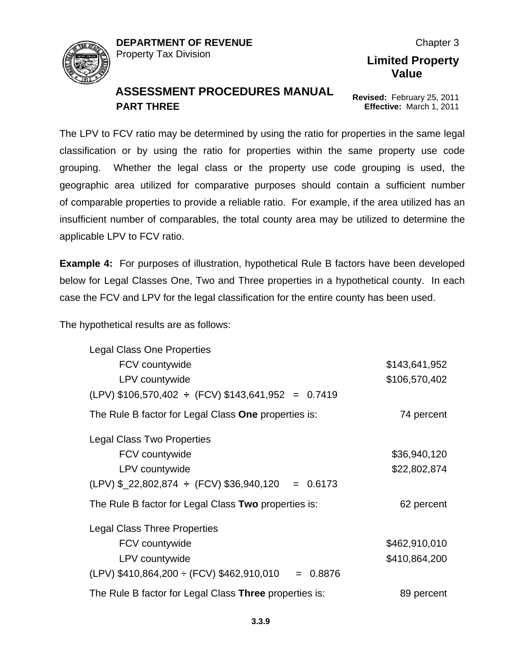

**Revised:** February 25, 2011 **Effective:** March 1, 2011

**Limited Property Value**

The LPV to FCV ratio may be determined by using the ratio for properties in the same legal classification or by using the ratio for properties within the same property use code grouping. Whether the legal class or the property use code grouping is used, the geographic area utilized for comparative purposes should contain a sufficient number of comparable properties to provide a reliable ratio. For example, if the area utilized has an insufficient number of comparables, the total county area may be utilized to determine the applicable LPV to FCV ratio.

**Example 4:** For purposes of illustration, hypothetical Rule B factors have been developed below for Legal Classes One, Two and Three properties in a hypothetical county. In each case the FCV and LPV for the legal classification for the entire county has been used.

The hypothetical results are as follows:

| <b>Legal Class One Properties</b>                                 |               |
|-------------------------------------------------------------------|---------------|
| FCV countywide                                                    | \$143,641,952 |
| LPV countywide                                                    | \$106,570,402 |
| $(LPV)$ \$106,570,402 ÷ (FCV) \$143,641,952 = 0.7419              |               |
| The Rule B factor for Legal Class One properties is:              | 74 percent    |
| <b>Legal Class Two Properties</b>                                 |               |
| FCV countywide                                                    | \$36,940,120  |
| LPV countywide                                                    | \$22,802,874  |
| $(LPV)$ \$_22,802,874 $\div$ (FCV) \$36,940,120 = 0.6173          |               |
| The Rule B factor for Legal Class Two properties is:              | 62 percent    |
| <b>Legal Class Three Properties</b>                               |               |
| FCV countywide                                                    | \$462,910,010 |
| LPV countywide                                                    | \$410,864,200 |
| $(LPV)$ \$410,864,200 $\div$ (FCV) \$462,910,010<br>0.8876<br>$=$ |               |
| The Rule B factor for Legal Class Three properties is:            | 89 percent    |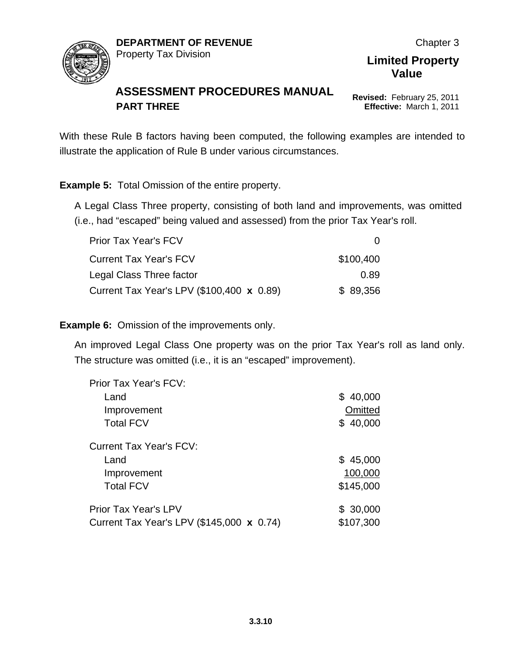

Chapter 3

#### **Limited Property Value**

**Revised:** February 25, 2011 **Effective:** March 1, 2011

With these Rule B factors having been computed, the following examples are intended to illustrate the application of Rule B under various circumstances.

**Example 5:** Total Omission of the entire property.

A Legal Class Three property, consisting of both land and improvements, was omitted (i.e., had "escaped" being valued and assessed) from the prior Tax Year's roll.

| <b>Prior Tax Year's FCV</b>               |           |
|-------------------------------------------|-----------|
| <b>Current Tax Year's FCV</b>             | \$100,400 |
| Legal Class Three factor                  | 0.89      |
| Current Tax Year's LPV (\$100,400 x 0.89) | \$89,356  |

**Example 6:** Omission of the improvements only.

An improved Legal Class One property was on the prior Tax Year's roll as land only. The structure was omitted (i.e., it is an "escaped" improvement).

| Prior Tax Year's FCV:                     |           |
|-------------------------------------------|-----------|
| Land                                      | \$40,000  |
| Improvement                               | Omitted   |
| <b>Total FCV</b>                          | \$40,000  |
| Current Tax Year's FCV:                   |           |
| Land                                      | \$45,000  |
| Improvement                               | 100,000   |
| <b>Total FCV</b>                          | \$145,000 |
| <b>Prior Tax Year's LPV</b>               | \$30,000  |
| Current Tax Year's LPV (\$145,000 x 0.74) | \$107,300 |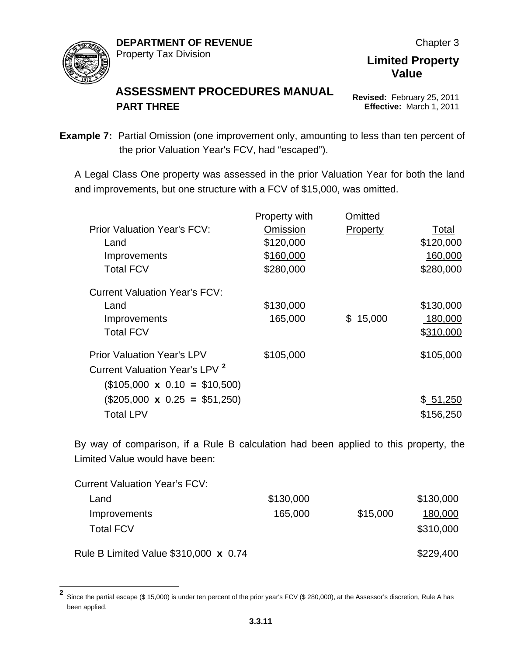

**Revised:** February 25, 2011 **Effective:** March 1, 2011

**Limited Property Value**

**Example 7:** Partial Omission (one improvement only, amounting to less than ten percent of the prior Valuation Year's FCV, had "escaped").

A Legal Class One property was assessed in the prior Valuation Year for both the land and improvements, but one structure with a FCV of \$15,000, was omitted.

|                                           | Property with | Omitted         |           |
|-------------------------------------------|---------------|-----------------|-----------|
| <b>Prior Valuation Year's FCV:</b>        | Omission      | <b>Property</b> | Total     |
| Land                                      | \$120,000     |                 | \$120,000 |
| Improvements                              | \$160,000     |                 | 160,000   |
| <b>Total FCV</b>                          | \$280,000     |                 | \$280,000 |
| <b>Current Valuation Year's FCV:</b>      |               |                 |           |
| Land                                      | \$130,000     |                 | \$130,000 |
| Improvements                              | 165,000       | \$15,000        | 180,000   |
| <b>Total FCV</b>                          |               |                 | \$310,000 |
| <b>Prior Valuation Year's LPV</b>         | \$105,000     |                 | \$105,000 |
| Current Valuation Year's LPV <sup>2</sup> |               |                 |           |
| $(\$105,000 \times 0.10 = \$10,500)$      |               |                 |           |
| $(\$205,000 \times 0.25 = \$51,250)$      |               |                 | \$51,250  |
| <b>Total LPV</b>                          |               |                 | \$156,250 |

By way of comparison, if a Rule B calculation had been applied to this property, the Limited Value would have been:

| <b>Current Valuation Year's FCV:</b>  |           |          |           |
|---------------------------------------|-----------|----------|-----------|
| Land                                  | \$130,000 |          | \$130,000 |
| <b>Improvements</b>                   | 165,000   | \$15,000 | 180,000   |
| <b>Total FCV</b>                      |           |          | \$310,000 |
| Rule B Limited Value \$310,000 x 0.74 |           |          | \$229,400 |

<span id="page-10-0"></span>**2** Since the partial escape (\$ 15,000) is under ten percent of the prior year's FCV (\$ 280,000), at the Assessor's discretion, Rule A has been applied.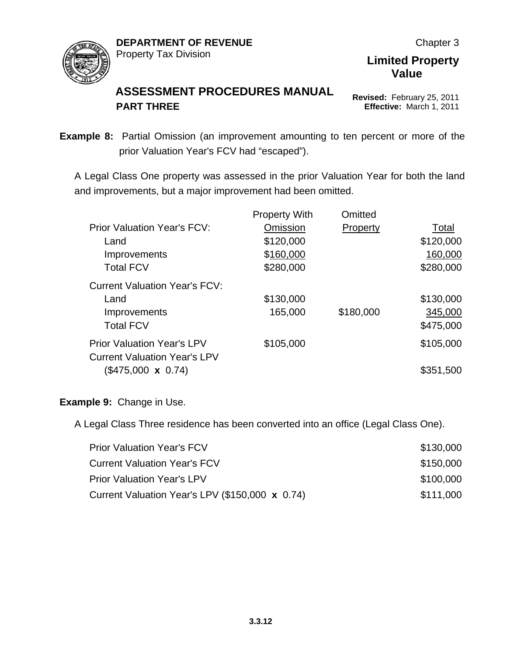

#### **ASSESSMENT PROCEDURES MANUAL PART THREE**

**Revised:** February 25, 2011 **Effective:** March 1, 2011

**Example 8:** Partial Omission (an improvement amounting to ten percent or more of the prior Valuation Year's FCV had "escaped").

A Legal Class One property was assessed in the prior Valuation Year for both the land and improvements, but a major improvement had been omitted.

|                                                                          | <b>Property With</b> | Omitted   |           |
|--------------------------------------------------------------------------|----------------------|-----------|-----------|
| <b>Prior Valuation Year's FCV:</b>                                       | Omission             | Property  | Total     |
| Land                                                                     | \$120,000            |           | \$120,000 |
| Improvements                                                             | \$160,000            |           | 160,000   |
| <b>Total FCV</b>                                                         | \$280,000            |           | \$280,000 |
| <b>Current Valuation Year's FCV:</b>                                     |                      |           |           |
| Land                                                                     | \$130,000            |           | \$130,000 |
| Improvements                                                             | 165,000              | \$180,000 | 345,000   |
| <b>Total FCV</b>                                                         |                      |           | \$475,000 |
| <b>Prior Valuation Year's LPV</b><br><b>Current Valuation Year's LPV</b> | \$105,000            |           | \$105,000 |
| $(\$475,000 \times 0.74)$                                                |                      |           | \$351,500 |
|                                                                          |                      |           |           |

#### **Example 9:** Change in Use.

A Legal Class Three residence has been converted into an office (Legal Class One).

| <b>Prior Valuation Year's FCV</b>               | \$130,000 |
|-------------------------------------------------|-----------|
| <b>Current Valuation Year's FCV</b>             | \$150,000 |
| <b>Prior Valuation Year's LPV</b>               | \$100,000 |
| Current Valuation Year's LPV (\$150,000 x 0.74) | \$111,000 |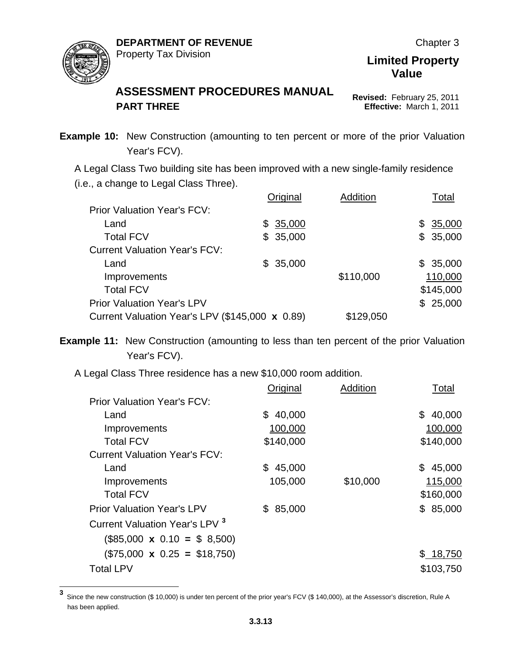

#### **ASSESSMENT PROCEDURES MANUAL PART THREE**

**Revised:** February 25, 2011 **Effective:** March 1, 2011

**Example 10:** New Construction (amounting to ten percent or more of the prior Valuation Year's FCV).

A Legal Class Two building site has been improved with a new single-family residence (i.e., a change to Legal Class Three).

|                                                 | Original | Addition  | Total     |
|-------------------------------------------------|----------|-----------|-----------|
| <b>Prior Valuation Year's FCV:</b>              |          |           |           |
| Land                                            | \$35,000 |           | \$35,000  |
| <b>Total FCV</b>                                | \$35,000 |           | \$35,000  |
| <b>Current Valuation Year's FCV:</b>            |          |           |           |
| Land                                            | \$35,000 |           | \$35,000  |
| Improvements                                    |          | \$110,000 | 110,000   |
| <b>Total FCV</b>                                |          |           | \$145,000 |
| <b>Prior Valuation Year's LPV</b>               |          |           | \$25,000  |
| Current Valuation Year's LPV (\$145,000 x 0.89) |          | \$129,050 |           |

**Example 11:** New Construction (amounting to less than ten percent of the prior Valuation Year's FCV).

A Legal Class Three residence has a new \$10,000 room addition.

|                                           | Original      | Addition | Total        |
|-------------------------------------------|---------------|----------|--------------|
| <b>Prior Valuation Year's FCV:</b>        |               |          |              |
| Land                                      | 40,000<br>\$. |          | 40,000<br>\$ |
| Improvements                              | 100,000       |          | 100,000      |
| <b>Total FCV</b>                          | \$140,000     |          | \$140,000    |
| <b>Current Valuation Year's FCV:</b>      |               |          |              |
| Land                                      | 45,000<br>\$  |          | \$<br>45,000 |
| Improvements                              | 105,000       | \$10,000 | 115,000      |
| <b>Total FCV</b>                          |               |          | \$160,000    |
| <b>Prior Valuation Year's LPV</b>         | 85,000<br>\$. |          | 85,000<br>\$ |
| Current Valuation Year's LPV <sup>3</sup> |               |          |              |
| $(\$85,000 \times 0.10 = \$ 8,500)$       |               |          |              |
| $($75,000 \times 0.25 = $18,750)$         |               |          | \$18,750     |
| <b>Total LPV</b>                          |               |          | \$103,750    |

<span id="page-12-0"></span>**<sup>3</sup>** Since the new construction (\$ 10,000) is under ten percent of the prior year's FCV (\$ 140,000), at the Assessor's discretion, Rule A has been applied.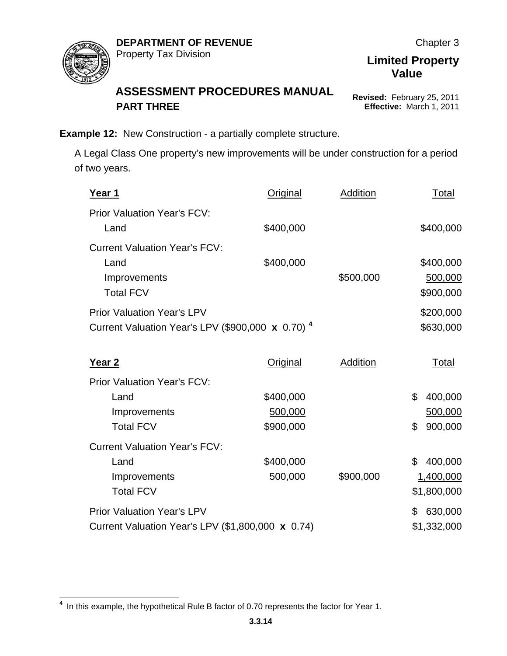

**Revised:** February 25, 2011 **Effective:** March 1, 2011

**Value**

**Example 12:** New Construction - a partially complete structure.

A Legal Class One property's new improvements will be under construction for a period of two years.

| <u>Year 1</u>                                                       | Original        | <b>Addition</b> | Total         |
|---------------------------------------------------------------------|-----------------|-----------------|---------------|
| <b>Prior Valuation Year's FCV:</b>                                  |                 |                 |               |
| Land                                                                | \$400,000       |                 | \$400,000     |
| <b>Current Valuation Year's FCV:</b>                                |                 |                 |               |
| Land                                                                | \$400,000       |                 | \$400,000     |
| Improvements                                                        |                 | \$500,000       | 500,000       |
| <b>Total FCV</b>                                                    |                 |                 | \$900,000     |
| <b>Prior Valuation Year's LPV</b>                                   |                 |                 | \$200,000     |
| Current Valuation Year's LPV (\$900,000 $\times$ 0.70) <sup>4</sup> |                 |                 | \$630,000     |
|                                                                     |                 |                 |               |
| Year 2                                                              | <b>Original</b> | <b>Addition</b> | Total         |
| <b>Prior Valuation Year's FCV:</b>                                  |                 |                 |               |
| Land                                                                | \$400,000       |                 | \$<br>400,000 |
| Improvements                                                        | 500,000         |                 | 500,000       |
| <b>Total FCV</b>                                                    | \$900,000       |                 | 900,000<br>\$ |
| <b>Current Valuation Year's FCV:</b>                                |                 |                 |               |
| Land                                                                | \$400,000       |                 | 400,000<br>\$ |
| Improvements                                                        | 500,000         | \$900,000       | 1,400,000     |
| <b>Total FCV</b>                                                    |                 |                 | \$1,800,000   |
| <b>Prior Valuation Year's LPV</b>                                   |                 |                 | 630,000<br>\$ |
| Current Valuation Year's LPV (\$1,800,000 x 0.74)                   |                 |                 | \$1,332,000   |

<span id="page-13-0"></span>**<sup>4</sup>** In this example, the hypothetical Rule B factor of 0.70 represents the factor for Year 1.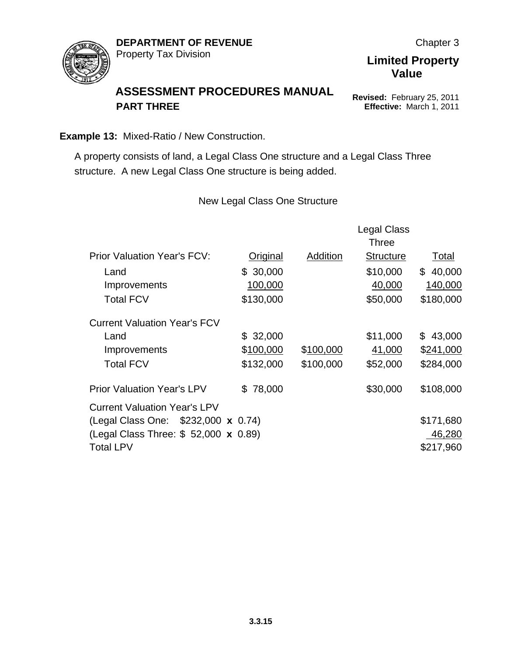

#### **ASSESSMENT PROCEDURES MANUAL PART THREE**

**Revised:** February 25, 2011 **Effective:** March 1, 2011

**Example 13:** Mixed-Ratio / New Construction.

A property consists of land, a Legal Class One structure and a Legal Class Three structure. A new Legal Class One structure is being added.

New Legal Class One Structure

|                                       |                 |           | <b>Legal Class</b><br><b>Three</b> |              |
|---------------------------------------|-----------------|-----------|------------------------------------|--------------|
| <b>Prior Valuation Year's FCV:</b>    | <b>Original</b> | Addition  | <b>Structure</b>                   | Total        |
| Land                                  | \$30,000        |           | \$10,000                           | \$40,000     |
| Improvements                          | 100,000         |           | 40,000                             | 140,000      |
| <b>Total FCV</b>                      | \$130,000       |           | \$50,000                           | \$180,000    |
| <b>Current Valuation Year's FCV</b>   |                 |           |                                    |              |
| Land                                  | \$32,000        |           | \$11,000                           | 43,000<br>\$ |
| Improvements                          | \$100,000       | \$100,000 | 41,000                             | \$241,000    |
| <b>Total FCV</b>                      | \$132,000       | \$100,000 | \$52,000                           | \$284,000    |
| <b>Prior Valuation Year's LPV</b>     | 78,000<br>SS.   |           | \$30,000                           | \$108,000    |
| <b>Current Valuation Year's LPV</b>   |                 |           |                                    |              |
| (Legal Class One: \$232,000 x 0.74)   |                 |           |                                    | \$171,680    |
| (Legal Class Three: \$ 52,000 x 0.89) |                 |           |                                    | 46,280       |
| <b>Total LPV</b>                      |                 |           |                                    | \$217,960    |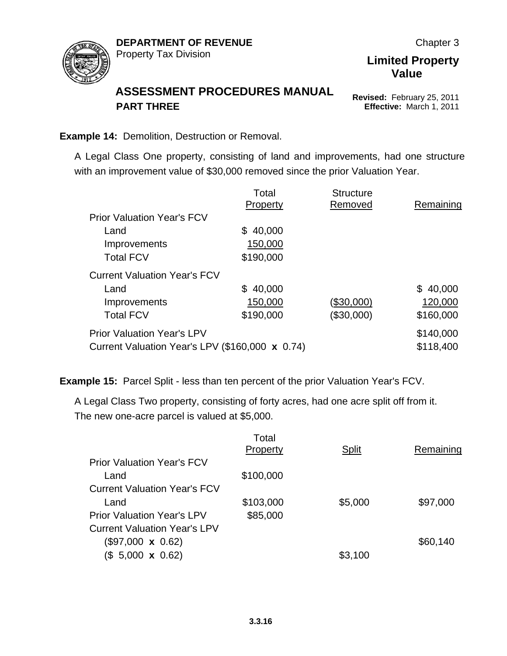

**Revised:** February 25, 2011 **Effective:** March 1, 2011

**Limited Property Value**

**Example 14:** Demolition, Destruction or Removal.

A Legal Class One property, consisting of land and improvements, had one structure with an improvement value of \$30,000 removed since the prior Valuation Year.

|                                                 | Total     | <b>Structure</b> |           |
|-------------------------------------------------|-----------|------------------|-----------|
|                                                 | Property  | Removed          | Remaining |
| <b>Prior Valuation Year's FCV</b>               |           |                  |           |
| Land                                            | \$40,000  |                  |           |
| Improvements                                    | 150,000   |                  |           |
| <b>Total FCV</b>                                | \$190,000 |                  |           |
| <b>Current Valuation Year's FCV</b>             |           |                  |           |
| Land                                            | \$40,000  |                  | \$40,000  |
| Improvements                                    | 150,000   | (\$30,000)       | 120,000   |
| <b>Total FCV</b>                                | \$190,000 | (\$30,000)       | \$160,000 |
| <b>Prior Valuation Year's LPV</b>               |           |                  | \$140,000 |
| Current Valuation Year's LPV (\$160,000 x 0.74) |           |                  | \$118,400 |

**Example 15:** Parcel Split - less than ten percent of the prior Valuation Year's FCV.

A Legal Class Two property, consisting of forty acres, had one acre split off from it. The new one-acre parcel is valued at \$5,000.

|                                     | Total<br>Property | <b>Split</b> | Remaining |
|-------------------------------------|-------------------|--------------|-----------|
| <b>Prior Valuation Year's FCV</b>   |                   |              |           |
| Land                                | \$100,000         |              |           |
| <b>Current Valuation Year's FCV</b> |                   |              |           |
| Land                                | \$103,000         | \$5,000      | \$97,000  |
| <b>Prior Valuation Year's LPV</b>   | \$85,000          |              |           |
| <b>Current Valuation Year's LPV</b> |                   |              |           |
| $(\$97,000 \times 0.62)$            |                   |              | \$60,140  |
| $($, 5,000 \times 0.62)$            |                   | \$3,100      |           |
|                                     |                   |              |           |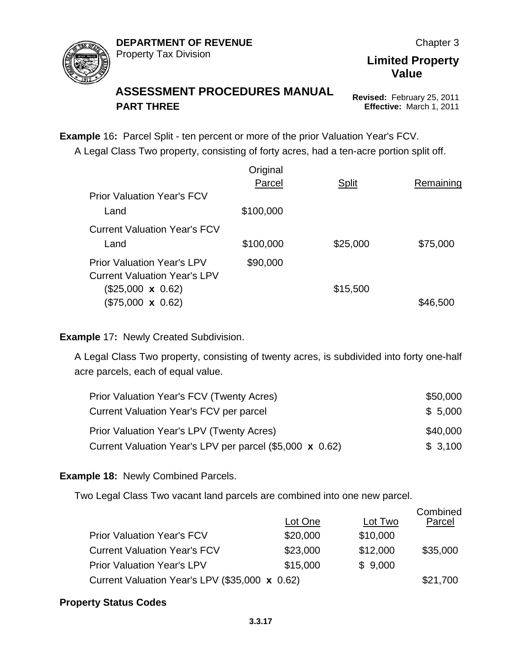

#### **ASSESSMENT PROCEDURES MANUAL PART THREE**

**Revised:** February 25, 2011 **Effective:** March 1, 2011

**Example** 16**:** Parcel Split - ten percent or more of the prior Valuation Year's FCV. A Legal Class Two property, consisting of forty acres, had a ten-acre portion split off.

|                                     | Original  |              |           |
|-------------------------------------|-----------|--------------|-----------|
|                                     | Parcel    | <b>Split</b> | Remaining |
| <b>Prior Valuation Year's FCV</b>   |           |              |           |
| Land                                | \$100,000 |              |           |
| <b>Current Valuation Year's FCV</b> |           |              |           |
| Land                                | \$100,000 | \$25,000     | \$75,000  |
| <b>Prior Valuation Year's LPV</b>   | \$90,000  |              |           |
| <b>Current Valuation Year's LPV</b> |           |              |           |
| $(\$25,000 \times 0.62)$            |           | \$15,500     |           |
| $($75,000 \times 0.62)$             |           |              | \$46,500  |
|                                     |           |              |           |

#### **Example** 17**:** Newly Created Subdivision.

A Legal Class Two property, consisting of twenty acres, is subdivided into forty one-half acre parcels, each of equal value.

| <b>Prior Valuation Year's FCV (Twenty Acres)</b>         | \$50,000 |
|----------------------------------------------------------|----------|
| Current Valuation Year's FCV per parcel                  | \$5,000  |
| <b>Prior Valuation Year's LPV (Twenty Acres)</b>         | \$40,000 |
| Current Valuation Year's LPV per parcel (\$5,000 x 0.62) | \$3,100  |

#### **Example 18:** Newly Combined Parcels.

Two Legal Class Two vacant land parcels are combined into one new parcel.

|                                                | Lot One  | Lot Two  | Combined<br>Parcel |
|------------------------------------------------|----------|----------|--------------------|
| <b>Prior Valuation Year's FCV</b>              | \$20,000 | \$10,000 |                    |
| <b>Current Valuation Year's FCV</b>            | \$23,000 | \$12,000 | \$35,000           |
| <b>Prior Valuation Year's LPV</b>              | \$15,000 | \$9,000  |                    |
| Current Valuation Year's LPV (\$35,000 x 0.62) |          |          | \$21,700           |

#### **Property Status Codes**